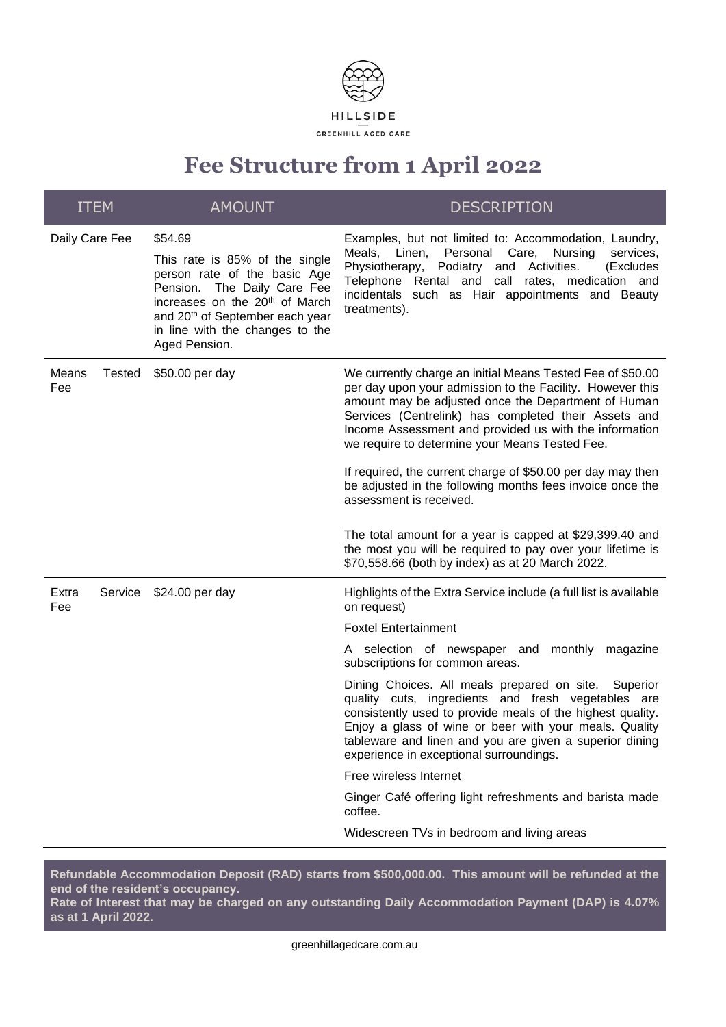

# **Fee Structure from 1 April 2022**

| <b>ITEM</b>    |               | <b>AMOUNT</b>                                                                                                                                                                                                                                                | <b>DESCRIPTION</b>                                                                                                                                                                                                                                                                                                                                                                                                                                                                                                                                                    |
|----------------|---------------|--------------------------------------------------------------------------------------------------------------------------------------------------------------------------------------------------------------------------------------------------------------|-----------------------------------------------------------------------------------------------------------------------------------------------------------------------------------------------------------------------------------------------------------------------------------------------------------------------------------------------------------------------------------------------------------------------------------------------------------------------------------------------------------------------------------------------------------------------|
| Daily Care Fee |               | \$54.69<br>This rate is 85% of the single<br>person rate of the basic Age<br>Pension.<br>The Daily Care Fee<br>increases on the 20 <sup>th</sup> of March<br>and 20 <sup>th</sup> of September each year<br>in line with the changes to the<br>Aged Pension. | Examples, but not limited to: Accommodation, Laundry,<br>Personal Care,<br>Meals, Linen,<br>Nursing<br>services,<br>Physiotherapy,<br>Podiatry and Activities.<br>(Excludes<br>Telephone Rental and call rates, medication and<br>incidentals such as Hair appointments and Beauty<br>treatments).                                                                                                                                                                                                                                                                    |
| Means<br>Fee   | <b>Tested</b> | \$50.00 per day                                                                                                                                                                                                                                              | We currently charge an initial Means Tested Fee of \$50.00<br>per day upon your admission to the Facility. However this<br>amount may be adjusted once the Department of Human<br>Services (Centrelink) has completed their Assets and<br>Income Assessment and provided us with the information<br>we require to determine your Means Tested Fee.<br>If required, the current charge of \$50.00 per day may then<br>be adjusted in the following months fees invoice once the<br>assessment is received.<br>The total amount for a year is capped at \$29,399.40 and |
|                |               |                                                                                                                                                                                                                                                              | the most you will be required to pay over your lifetime is<br>\$70,558.66 (both by index) as at 20 March 2022.                                                                                                                                                                                                                                                                                                                                                                                                                                                        |
| Extra<br>Fee   | Service       | \$24.00 per day                                                                                                                                                                                                                                              | Highlights of the Extra Service include (a full list is available<br>on request)                                                                                                                                                                                                                                                                                                                                                                                                                                                                                      |
|                |               |                                                                                                                                                                                                                                                              | <b>Foxtel Entertainment</b>                                                                                                                                                                                                                                                                                                                                                                                                                                                                                                                                           |
|                |               |                                                                                                                                                                                                                                                              | A selection of newspaper and monthly<br>magazine<br>subscriptions for common areas.                                                                                                                                                                                                                                                                                                                                                                                                                                                                                   |
|                |               |                                                                                                                                                                                                                                                              | Dining Choices. All meals prepared on site. Superior<br>quality cuts, ingredients and fresh vegetables are<br>consistently used to provide meals of the highest quality.<br>Enjoy a glass of wine or beer with your meals. Quality<br>tableware and linen and you are given a superior dining<br>experience in exceptional surroundings.                                                                                                                                                                                                                              |
|                |               |                                                                                                                                                                                                                                                              | Free wireless Internet                                                                                                                                                                                                                                                                                                                                                                                                                                                                                                                                                |
|                |               |                                                                                                                                                                                                                                                              | Ginger Café offering light refreshments and barista made<br>coffee.                                                                                                                                                                                                                                                                                                                                                                                                                                                                                                   |
|                |               |                                                                                                                                                                                                                                                              | Widescreen TVs in bedroom and living areas                                                                                                                                                                                                                                                                                                                                                                                                                                                                                                                            |

**Refundable Accommodation Deposit (RAD) starts from \$500,000.00. This amount will be refunded at the end of the resident's occupancy.** 

**Rate of Interest that may be charged on any outstanding Daily Accommodation Payment (DAP) is 4.07% as at 1 April 2022.**

greenhillagedcare.com.au